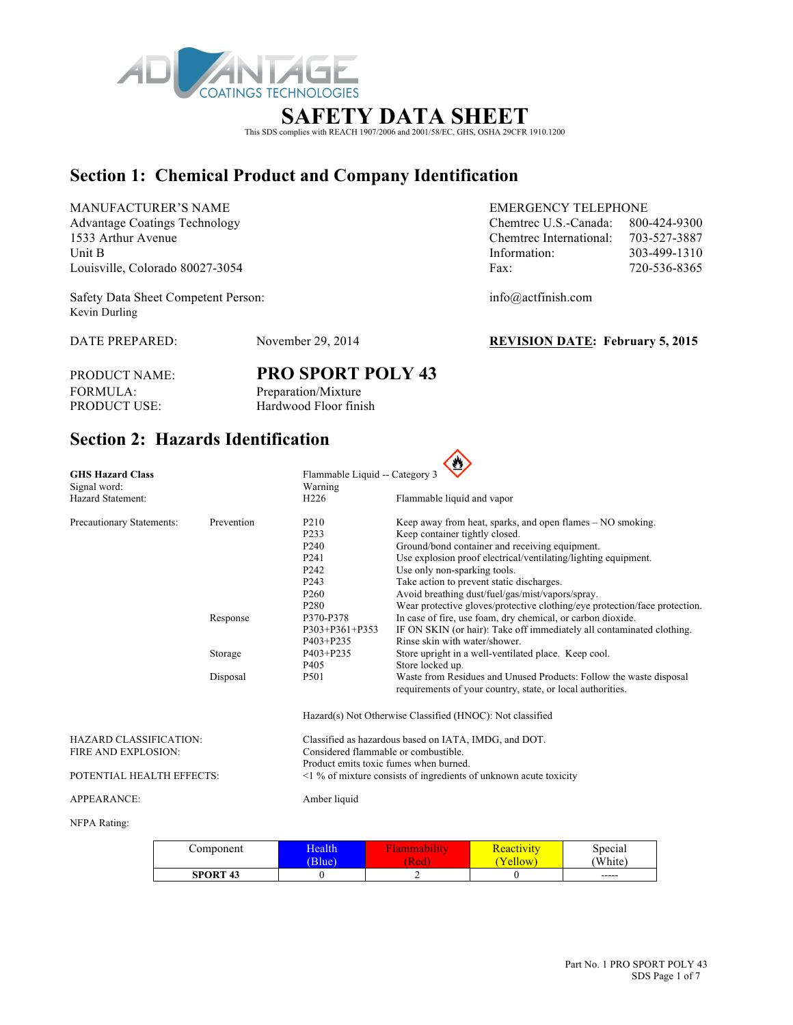

# This SDS complies with REACH 1907/2006 and 2001/58/EC, GHS, OSHA 29CFR 1910.1200

### **Section 1: Chemical Product and Company Identification**

MANUFACTURER'S NAME EMERGENCY TELEPHONE Advantage Coatings Technology Chemical U.S.-Canada: 800-424-930-424-9300-424-9300-424-9300-424-9300-424-9300-424-93000-424-9300-424-9300-424-9300-424-9300-424-9300-424-9300-424-9300-424-9300-424-9300-424-9300-424-9300-424-1533 Arthur Avenue Chemtrec International: 703-527-3887 Louisville, Colorado 80027-3054 F

Safety Data Sheet Competent Person: info@actfinish.com Kevin Durling

DATE PREPARED: November 29, 2014 **REVISION DATE: February 5, 2015**

PRODUCT NAME: **PRO SPORT POLY 43** FORMULA: Preparation/Mixture<br>PRODUCT USE: Hardwood Floor fini Hardwood Floor finish

### **Section 2: Hazards Identification**

| <b>GHS Hazard Class</b>         |            | Flammable Liquid -- Category 3                                          |                                                                            |  |  |
|---------------------------------|------------|-------------------------------------------------------------------------|----------------------------------------------------------------------------|--|--|
| Signal word:                    |            | Warning                                                                 |                                                                            |  |  |
| Hazard Statement:               |            | H <sub>226</sub>                                                        | Flammable liquid and vapor                                                 |  |  |
| Precautionary Statements:       | Prevention | P <sub>210</sub>                                                        | Keep away from heat, sparks, and open flames – NO smoking.                 |  |  |
|                                 |            | P233                                                                    | Keep container tightly closed.                                             |  |  |
|                                 |            | P <sub>240</sub>                                                        | Ground/bond container and receiving equipment.                             |  |  |
|                                 |            | P <sub>241</sub>                                                        | Use explosion proof electrical/ventilating/lighting equipment.             |  |  |
|                                 |            | P <sub>242</sub>                                                        | Use only non-sparking tools.                                               |  |  |
|                                 |            | P <sub>243</sub>                                                        | Take action to prevent static discharges.                                  |  |  |
|                                 |            | P <sub>260</sub>                                                        | Avoid breathing dust/fuel/gas/mist/vapors/spray.                           |  |  |
|                                 |            | P <sub>280</sub>                                                        | Wear protective gloves/protective clothing/eye protection/face protection. |  |  |
|                                 | Response   | P370-P378                                                               | In case of fire, use foam, dry chemical, or carbon dioxide.                |  |  |
|                                 |            | P303+P361+P353                                                          | IF ON SKIN (or hair): Take off immediately all contaminated clothing.      |  |  |
|                                 |            | P403+P235                                                               | Rinse skin with water/shower                                               |  |  |
|                                 | Storage    | P403+P235                                                               | Store upright in a well-ventilated place. Keep cool.                       |  |  |
|                                 |            | P <sub>405</sub>                                                        | Store locked up.                                                           |  |  |
|                                 | Disposal   | P501                                                                    | Waste from Residues and Unused Products: Follow the waste disposal         |  |  |
|                                 |            |                                                                         | requirements of your country, state, or local authorities.                 |  |  |
|                                 |            |                                                                         | Hazard(s) Not Otherwise Classified (HNOC): Not classified                  |  |  |
| <b>HAZARD CLASSIFICATION:</b>   |            |                                                                         | Classified as hazardous based on IATA, IMDG, and DOT.                      |  |  |
| FIRE AND EXPLOSION:             |            | Considered flammable or combustible.                                    |                                                                            |  |  |
|                                 |            | Product emits toxic fumes when burned.                                  |                                                                            |  |  |
| POTENTIAL HEALTH EFFECTS:       |            | $\leq$ 1 % of mixture consists of ingredients of unknown acute toxicity |                                                                            |  |  |
| <b>APPEARANCE:</b>              |            | Amber liquid                                                            |                                                                            |  |  |
| $\lambda$ EDA D $\lambda$ inger |            |                                                                         |                                                                            |  |  |

#### NFPA Rating:

| Component       | <b>Health</b><br>Blue) | .<br>танннаони<br>[Red | <u> Keactivity</u><br>ellow | Special<br>'White) |
|-----------------|------------------------|------------------------|-----------------------------|--------------------|
| <b>SPORT 43</b> |                        |                        |                             | $- - - - -$        |

| 800-424-9300 |
|--------------|
| 703-527-3887 |
| 303-499-1310 |
| 720-536-8365 |
|              |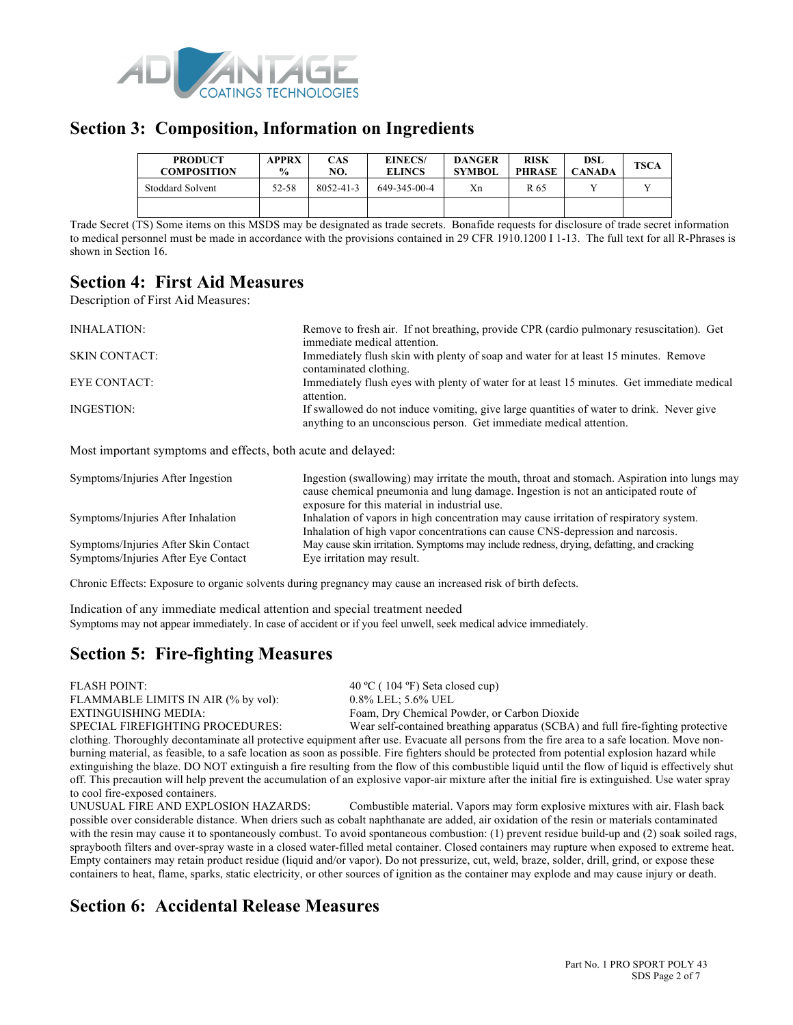

### **Section 3: Composition, Information on Ingredients**

| <b>PRODUCT</b><br><b>COMPOSITION</b> | <b>APPRX</b><br>$\frac{0}{0}$ | CAS<br>NO.      | <b>EINECS/</b><br><b>ELINCS</b> | <b>DANGER</b><br><b>SYMBOL</b> | <b>RISK</b><br><b>PHRASE</b> | DSL<br>CANADA | <b>TSCA</b> |
|--------------------------------------|-------------------------------|-----------------|---------------------------------|--------------------------------|------------------------------|---------------|-------------|
| Stoddard Solvent                     | 52-58                         | $8052 - 41 - 3$ | 649-345-00-4                    | Xn                             | R 65                         |               |             |
|                                      |                               |                 |                                 |                                |                              |               |             |

Trade Secret (TS) Some items on this MSDS may be designated as trade secrets. Bonafide requests for disclosure of trade secret information to medical personnel must be made in accordance with the provisions contained in 29 CFR 1910.1200 I 1-13. The full text for all R-Phrases is shown in Section 16.

### **Section 4: First Aid Measures**

Description of First Aid Measures:

| INHALATION:          | Remove to fresh air. If not breathing, provide CPR (cardio pulmonary resuscitation). Get<br>immediate medical attention.                                        |
|----------------------|-----------------------------------------------------------------------------------------------------------------------------------------------------------------|
| <b>SKIN CONTACT:</b> | Immediately flush skin with plenty of soap and water for at least 15 minutes. Remove<br>contaminated clothing.                                                  |
| EYE CONTACT:         | Immediately flush eyes with plenty of water for at least 15 minutes. Get immediate medical<br>attention.                                                        |
| INGESTION:           | If swallowed do not induce vomiting, give large quantities of water to drink. Never give<br>anything to an unconscious person. Get immediate medical attention. |

Most important symptoms and effects, both acute and delayed:

| Symptoms/Injuries After Ingestion    | Ingestion (swallowing) may irritate the mouth, throat and stomach. Aspiration into lungs may<br>cause chemical pneumonia and lung damage. Ingestion is not an anticipated route of<br>exposure for this material in industrial use. |
|--------------------------------------|-------------------------------------------------------------------------------------------------------------------------------------------------------------------------------------------------------------------------------------|
| Symptoms/Injuries After Inhalation   | Inhalation of vapors in high concentration may cause irritation of respiratory system.<br>Inhalation of high vapor concentrations can cause CNS-depression and narcosis.                                                            |
| Symptoms/Injuries After Skin Contact | May cause skin irritation. Symptoms may include redness, drying, defatting, and cracking                                                                                                                                            |
| Symptoms/Injuries After Eye Contact  | Eye irritation may result.                                                                                                                                                                                                          |

Chronic Effects: Exposure to organic solvents during pregnancy may cause an increased risk of birth defects.

Indication of any immediate medical attention and special treatment needed Symptoms may not appear immediately. In case of accident or if you feel unwell, seek medical advice immediately.

## **Section 5: Fire-fighting Measures**

FLASH POINT: 40 °C ( 104 °F) Seta closed cup) FLAMMABLE LIMITS IN AIR (% by vol): 0.8% LEL; 5.6% UEL

EXTINGUISHING MEDIA: Foam, Dry Chemical Powder, or Carbon Dioxide<br>SPECIAL FIREFIGHTING PROCEDURES: Wear self-contained breathing apparatus (SCBA) Wear self-contained breathing apparatus (SCBA) and full fire-fighting protective clothing. Thoroughly decontaminate all protective equipment after use. Evacuate all persons from the fire area to a safe location. Move nonburning material, as feasible, to a safe location as soon as possible. Fire fighters should be protected from potential explosion hazard while extinguishing the blaze. DO NOT extinguish a fire resulting from the flow of this combustible liquid until the flow of liquid is effectively shut off. This precaution will help prevent the accumulation of an explosive vapor-air mixture after the initial fire is extinguished. Use water spray to cool fire-exposed containers.

UNUSUAL FIRE AND EXPLOSION HAZARDS: Combustible material. Vapors may form explosive mixtures with air. Flash back possible over considerable distance. When driers such as cobalt naphthanate are added, air oxidation of the resin or materials contaminated with the resin may cause it to spontaneously combust. To avoid spontaneous combustion: (1) prevent residue build-up and (2) soak soiled rags, spraybooth filters and over-spray waste in a closed water-filled metal container. Closed containers may rupture when exposed to extreme heat. Empty containers may retain product residue (liquid and/or vapor). Do not pressurize, cut, weld, braze, solder, drill, grind, or expose these containers to heat, flame, sparks, static electricity, or other sources of ignition as the container may explode and may cause injury or death.

## **Section 6: Accidental Release Measures**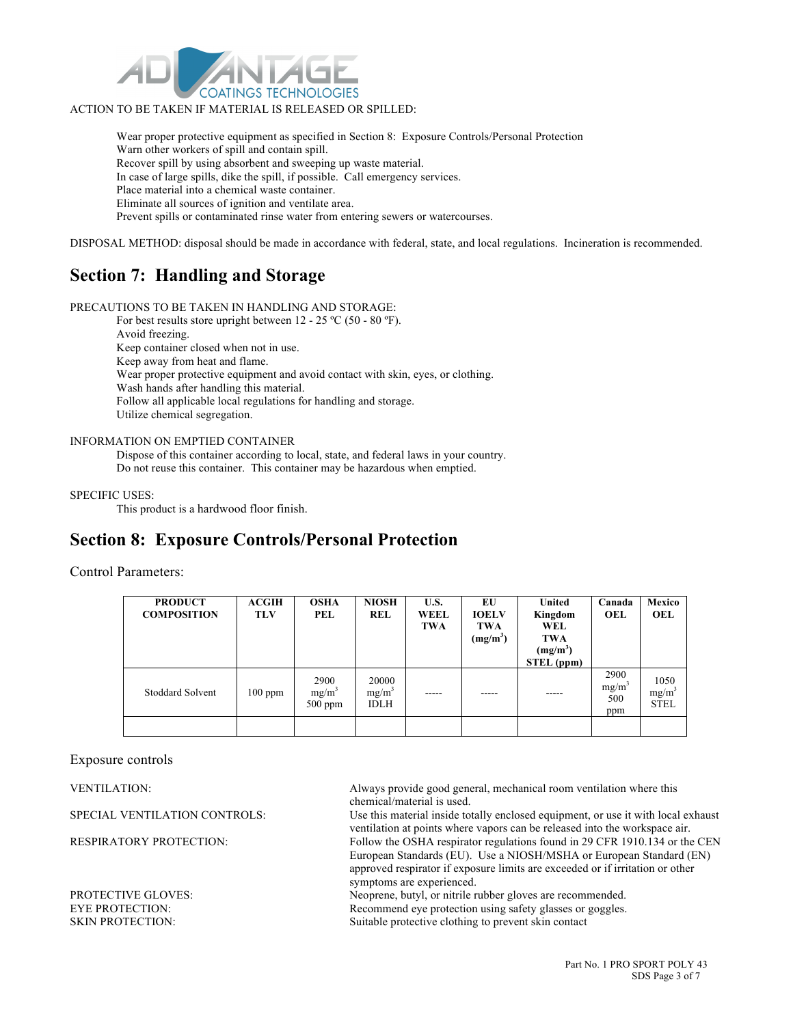

#### ACTION TO BE TAKEN IF MATERIAL IS RELEASED OR SPILLED:

Wear proper protective equipment as specified in Section 8: Exposure Controls/Personal Protection Warn other workers of spill and contain spill. Recover spill by using absorbent and sweeping up waste material. In case of large spills, dike the spill, if possible. Call emergency services. Place material into a chemical waste container. Eliminate all sources of ignition and ventilate area. Prevent spills or contaminated rinse water from entering sewers or watercourses.

DISPOSAL METHOD: disposal should be made in accordance with federal, state, and local regulations. Incineration is recommended.

### **Section 7: Handling and Storage**

PRECAUTIONS TO BE TAKEN IN HANDLING AND STORAGE:

For best results store upright between 12 - 25 °C (50 - 80 °F). Avoid freezing. Keep container closed when not in use. Keep away from heat and flame. Wear proper protective equipment and avoid contact with skin, eyes, or clothing. Wash hands after handling this material. Follow all applicable local regulations for handling and storage. Utilize chemical segregation.

#### INFORMATION ON EMPTIED CONTAINER

Dispose of this container according to local, state, and federal laws in your country. Do not reuse this container. This container may be hazardous when emptied.

#### SPECIFIC USES:

This product is a hardwood floor finish.

### **Section 8: Exposure Controls/Personal Protection**

#### Control Parameters:

| <b>PRODUCT</b><br><b>COMPOSITION</b> | <b>ACGIH</b><br><b>TLV</b> | <b>OSHA</b><br>PEL            | <b>NIOSH</b><br>REL              | U.S.<br>WEEL<br>TWA | EU<br><b>IOELV</b><br><b>TWA</b><br>$(mg/m^3)$ | <b>United</b><br>Kingdom<br>WEL<br>TWA<br>$(mg/m^3)$<br>STEL (ppm) | Canada<br>OEL                           | Mexico<br>OEL                   |
|--------------------------------------|----------------------------|-------------------------------|----------------------------------|---------------------|------------------------------------------------|--------------------------------------------------------------------|-----------------------------------------|---------------------------------|
| <b>Stoddard Solvent</b>              | $100$ ppm                  | 2900<br>$mg/m^3$<br>$500$ ppm | 20000<br>$mg/m^3$<br><b>IDLH</b> |                     |                                                | -----                                                              | 2900<br>mg/m <sup>3</sup><br>500<br>ppm | 1050<br>$mg/m^3$<br><b>STEL</b> |
|                                      |                            |                               |                                  |                     |                                                |                                                                    |                                         |                                 |

#### Exposure controls

VENTILATION: Always provide good general, mechanical room ventilation where this chemical/material is used.

SPECIAL VENTILATION CONTROLS: Use this material inside totally enclosed equipment, or use it with local exhaust ventilation at points where vapors can be released into the workspace air. RESPIRATORY PROTECTION: Follow the OSHA respirator regulations found in 29 CFR 1910.134 or the CEN European Standards (EU). Use a NIOSH/MSHA or European Standard (EN) approved respirator if exposure limits are exceeded or if irritation or other symptoms are experienced.

PROTECTIVE GLOVES: Neoprene, butyl, or nitrile rubber gloves are recommended. EYE PROTECTION: Recommend eye protection using safety glasses or goggles. SKIN PROTECTION: Suitable protective clothing to prevent skin contact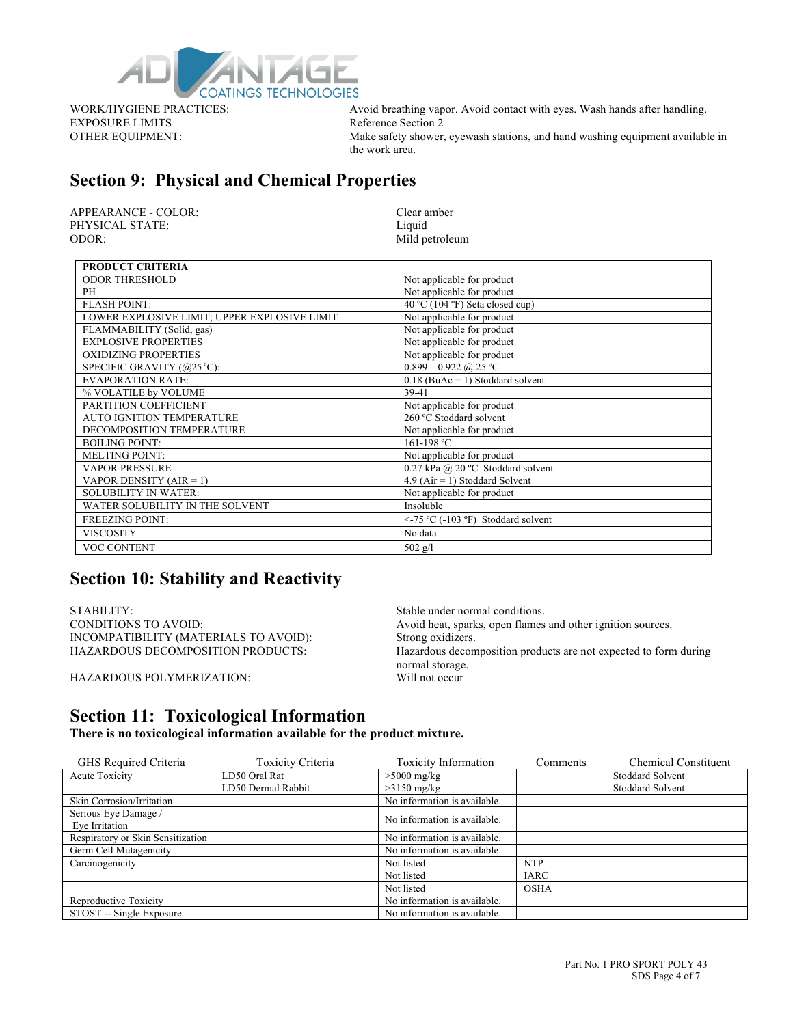

EXPOSURE LIMITS Reference Section 2

WORK/HYGIENE PRACTICES: Avoid breathing vapor. Avoid contact with eyes. Wash hands after handling. OTHER EQUIPMENT: Make safety shower, eyewash stations, and hand washing equipment available in the work area.

### **Section 9: Physical and Chemical Properties**

APPEARANCE - COLOR: Clear amber PHYSICAL STATE: Liquid ODOR: Mild petroleum

| <b>PRODUCT CRITERIA</b>                      |                                         |
|----------------------------------------------|-----------------------------------------|
| <b>ODOR THRESHOLD</b>                        | Not applicable for product              |
| PH                                           | Not applicable for product              |
| <b>FLASH POINT:</b>                          | 40 °C (104 °F) Seta closed cup)         |
| LOWER EXPLOSIVE LIMIT; UPPER EXPLOSIVE LIMIT | Not applicable for product              |
| FLAMMABILITY (Solid, gas)                    | Not applicable for product              |
| <b>EXPLOSIVE PROPERTIES</b>                  | Not applicable for product              |
| <b>OXIDIZING PROPERTIES</b>                  | Not applicable for product              |
| SPECIFIC GRAVITY (@25 °C):                   | 0.899 - 0.922 @ 25 °C                   |
| <b>EVAPORATION RATE:</b>                     | $0.18$ (BuAc = 1) Stoddard solvent      |
| % VOLATILE by VOLUME                         | 39-41                                   |
| PARTITION COEFFICIENT                        | Not applicable for product              |
| <b>AUTO IGNITION TEMPERATURE</b>             | 260 °C Stoddard solvent                 |
| DECOMPOSITION TEMPERATURE                    | Not applicable for product              |
| <b>BOILING POINT:</b>                        | 161-198 °C                              |
| <b>MELTING POINT:</b>                        | Not applicable for product              |
| <b>VAPOR PRESSURE</b>                        | 0.27 kPa @ 20 °C Stoddard solvent       |
| VAPOR DENSITY ( $AIR = 1$ )                  | $4.9$ (Air = 1) Stoddard Solvent        |
| <b>SOLUBILITY IN WATER:</b>                  | Not applicable for product              |
| WATER SOLUBILITY IN THE SOLVENT              | Insoluble                               |
| <b>FREEZING POINT:</b>                       | $\le$ -75 °C (-103 °F) Stoddard solvent |
| <b>VISCOSITY</b>                             | No data                                 |
| <b>VOC CONTENT</b>                           | $502$ g/l                               |

### **Section 10: Stability and Reactivity**

STABILITY:<br>
CONDITIONS TO AVOID: Stable under normal conditions.<br>
Avoid heat, sparks, open flames INCOMPATIBILITY (MATERIALS TO AVOID): Strong oxidizers.

HAZARDOUS POLYMERIZATION:

Avoid heat, sparks, open flames and other ignition sources. HAZARDOUS DECOMPOSITION PRODUCTS: Hazardous decomposition products are not expected to form during normal storage.<br>Will not occur

### **Section 11: Toxicological Information**

**There is no toxicological information available for the product mixture.**

| GHS Required Criteria             | <b>Toxicity Criteria</b> | <b>Toxicity Information</b>  | Comments    | <b>Chemical Constituent</b> |
|-----------------------------------|--------------------------|------------------------------|-------------|-----------------------------|
| Acute Toxicity                    | LD50 Oral Rat            | $>5000$ mg/kg                |             | <b>Stoddard Solvent</b>     |
|                                   | LD50 Dermal Rabbit       | $>3150$ mg/kg                |             | <b>Stoddard Solvent</b>     |
| Skin Corrosion/Irritation         |                          | No information is available. |             |                             |
| Serious Eye Damage /              |                          | No information is available. |             |                             |
| Eye Irritation                    |                          |                              |             |                             |
| Respiratory or Skin Sensitization |                          | No information is available. |             |                             |
| Germ Cell Mutagenicity            |                          | No information is available. |             |                             |
| Carcinogenicity                   |                          | Not listed                   | <b>NTP</b>  |                             |
|                                   |                          | Not listed                   | <b>IARC</b> |                             |
|                                   |                          | Not listed                   | <b>OSHA</b> |                             |
| Reproductive Toxicity             |                          | No information is available. |             |                             |
| STOST -- Single Exposure          |                          | No information is available. |             |                             |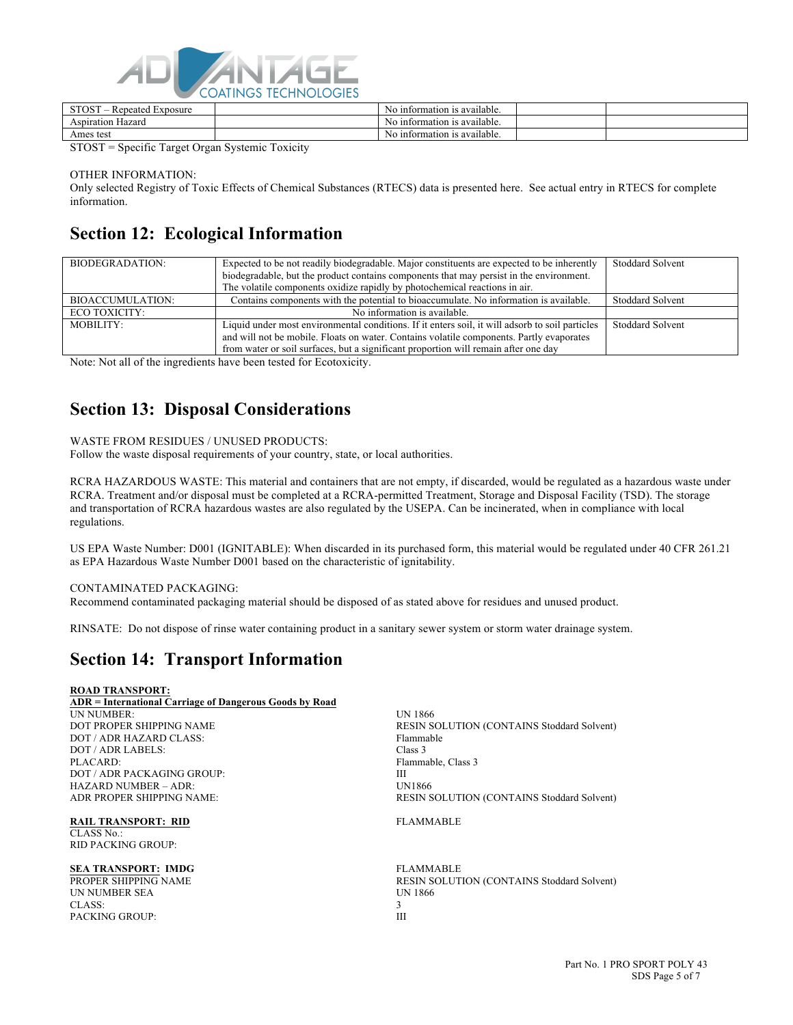

| untormation is available.<br>Hazard<br>Aspiration<br>N6 | CTOCT<br>Exposure<br>$\cdot$ en<br>eated<br>- | information<br>⊥is available.<br>NG.       |  |
|---------------------------------------------------------|-----------------------------------------------|--------------------------------------------|--|
|                                                         |                                               |                                            |  |
|                                                         | test<br>Ames                                  | ntormation is available.<br>N <sub>0</sub> |  |

STOST = Specific Target Organ Systemic Toxicity

OTHER INFORMATION:

Only selected Registry of Toxic Effects of Chemical Substances (RTECS) data is presented here. See actual entry in RTECS for complete information.

### **Section 12: Ecological Information**

| BIODEGRADATION:  | Expected to be not readily biodegradable. Major constituents are expected to be inherently      | <b>Stoddard Solvent</b> |
|------------------|-------------------------------------------------------------------------------------------------|-------------------------|
|                  | biodegradable, but the product contains components that may persist in the environment.         |                         |
|                  | The volatile components oxidize rapidly by photochemical reactions in air.                      |                         |
| BIOACCUMULATION: | Contains components with the potential to bioaccumulate. No information is available.           | <b>Stoddard Solvent</b> |
| ECO TOXICITY:    | No information is available.                                                                    |                         |
| MOBILITY:        | Liquid under most environmental conditions. If it enters soil, it will adsorb to soil particles | <b>Stoddard Solvent</b> |
|                  | and will not be mobile. Floats on water. Contains volatile components. Partly evaporates        |                         |
|                  | from water or soil surfaces, but a significant proportion will remain after one day             |                         |

Note: Not all of the ingredients have been tested for Ecotoxicity.

### **Section 13: Disposal Considerations**

#### WASTE FROM RESIDUES / UNUSED PRODUCTS:

Follow the waste disposal requirements of your country, state, or local authorities.

RCRA HAZARDOUS WASTE: This material and containers that are not empty, if discarded, would be regulated as a hazardous waste under RCRA. Treatment and/or disposal must be completed at a RCRA-permitted Treatment, Storage and Disposal Facility (TSD). The storage and transportation of RCRA hazardous wastes are also regulated by the USEPA. Can be incinerated, when in compliance with local regulations.

US EPA Waste Number: D001 (IGNITABLE): When discarded in its purchased form, this material would be regulated under 40 CFR 261.21 as EPA Hazardous Waste Number D001 based on the characteristic of ignitability.

#### CONTAMINATED PACKAGING:

Recommend contaminated packaging material should be disposed of as stated above for residues and unused product.

RINSATE: Do not dispose of rinse water containing product in a sanitary sewer system or storm water drainage system.

### **Section 14: Transport Information**

#### **ROAD TRANSPORT:**

**ADR = International Carriage of Dangerous Goods by Road** UN NUMBER: UN 1866<br>DOT PROPER SHIPPING NAME RESIN S DOT / ADR HAZARD CLASS: Flammable DOT / ADR LABELS: Class 3<br>PLACARD: Flamma DOT / ADR PACKAGING GROUP: III HAZARD NUMBER – ADR: UN1866<br>ADR PROPER SHIPPING NAME: UNITED THE RESIN S

**RAIL TRANSPORT: RID FLAMMABLE** CLASS No.: RID PACKING GROUP:

**SEA TRANSPORT: IMDG** FLAMMABLE UN NUMBER SEA UN 1866 CLASS: 3 PACKING GROUP: III

RESIN SOLUTION (CONTAINS Stoddard Solvent) Flammable, Class 3 RESIN SOLUTION (CONTAINS Stoddard Solvent)

PROPER SHIPPING NAME RESIN SOLUTION (CONTAINS Stoddard Solvent)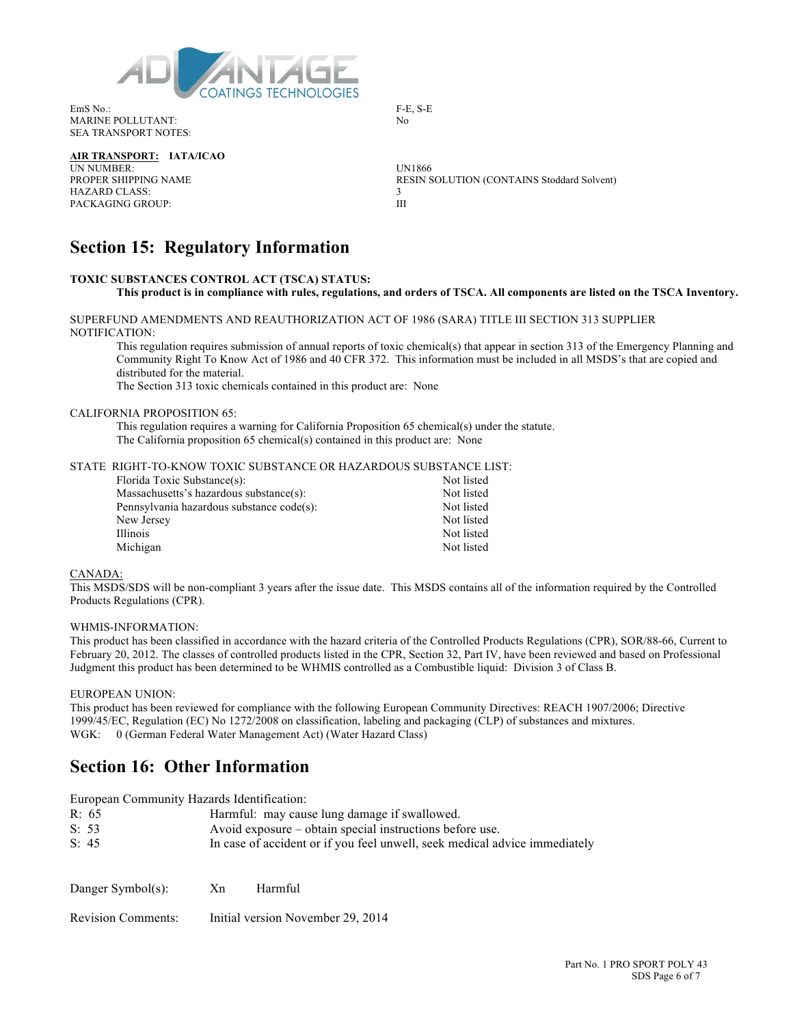

EmS No.: F-E, S-E MARINE POLLUTANT: No SEA TRANSPORT NOTES:

**AIR TRANSPORT: IATA/ICAO**

UN NUMBER: UNI866<br>PROPER SHIPPING NAME RESIN S HAZARD CLASS: PACKAGING GROUP: III

RESIN SOLUTION (CONTAINS Stoddard Solvent)

### **Section 15: Regulatory Information**

#### **TOXIC SUBSTANCES CONTROL ACT (TSCA) STATUS: This product is in compliance with rules, regulations, and orders of TSCA. All components are listed on the TSCA Inventory.**

SUPERFUND AMENDMENTS AND REAUTHORIZATION ACT OF 1986 (SARA) TITLE III SECTION 313 SUPPLIER NOTIFICATION:

This regulation requires submission of annual reports of toxic chemical(s) that appear in section 313 of the Emergency Planning and Community Right To Know Act of 1986 and 40 CFR 372. This information must be included in all MSDS's that are copied and distributed for the material.

The Section 313 toxic chemicals contained in this product are: None

#### CALIFORNIA PROPOSITION 65:

This regulation requires a warning for California Proposition 65 chemical(s) under the statute. The California proposition 65 chemical(s) contained in this product are: None

STATE RIGHT-TO-KNOW TOXIC SUBSTANCE OR HAZARDOUS SUBSTANCE LIST:

| Not listed |
|------------|
| Not listed |
| Not listed |
| Not listed |
| Not listed |
| Not listed |
|            |

#### CANADA:

This MSDS/SDS will be non-compliant 3 years after the issue date. This MSDS contains all of the information required by the Controlled Products Regulations (CPR).

#### WHMIS-INFORMATION:

This product has been classified in accordance with the hazard criteria of the Controlled Products Regulations (CPR), SOR/88-66, Current to February 20, 2012. The classes of controlled products listed in the CPR, Section 32, Part IV, have been reviewed and based on Professional Judgment this product has been determined to be WHMIS controlled as a Combustible liquid: Division 3 of Class B.

#### EUROPEAN UNION:

This product has been reviewed for compliance with the following European Community Directives: REACH 1907/2006; Directive 1999/45/EC, Regulation (EC) No 1272/2008 on classification, labeling and packaging (CLP) of substances and mixtures. WGK: 0 (German Federal Water Management Act) (Water Hazard Class)

### **Section 16: Other Information**

| European Community Hazards Identification: |                                                                            |         |
|--------------------------------------------|----------------------------------------------------------------------------|---------|
| R: 65                                      | Harmful: may cause lung damage if swallowed.                               |         |
| S: 53                                      | Avoid exposure – obtain special instructions before use.                   |         |
| S: 45                                      | In case of accident or if you feel unwell, seek medical advice immediately |         |
| Danger Symbol(s):                          | Xn                                                                         | Harmful |

Revision Comments: Initial version November 29, 2014